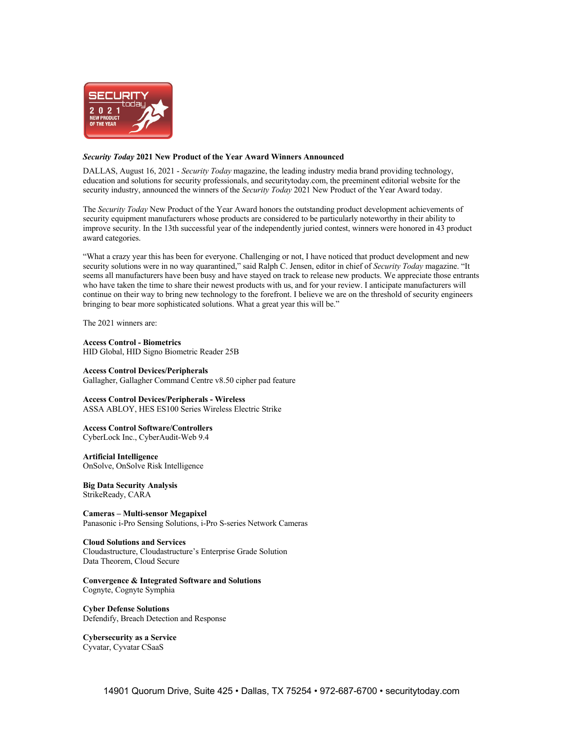

# *Security Today* **2021 New Product of the Year Award Winners Announced**

DALLAS, August 16, 2021 - *Security Today* magazine, the leading industry media brand providing technology, education and solutions for security professionals, and securitytoday.com, the preeminent editorial website for the security industry, announced the winners of the *Security Today* 2021 New Product of the Year Award today.

The *Security Today* New Product of the Year Award honors the outstanding product development achievements of security equipment manufacturers whose products are considered to be particularly noteworthy in their ability to improve security. In the 13th successful year of the independently juried contest, winners were honored in 43 product award categories.

"What a crazy year this has been for everyone. Challenging or not, I have noticed that product development and new security solutions were in no way quarantined," said Ralph C. Jensen, editor in chief of *Security Today* magazine. "It seems all manufacturers have been busy and have stayed on track to release new products. We appreciate those entrants who have taken the time to share their newest products with us, and for your review. I anticipate manufacturers will continue on their way to bring new technology to the forefront. I believe we are on the threshold of security engineers bringing to bear more sophisticated solutions. What a great year this will be."

The 2021 winners are:

**Access Control - Biometrics** HID Global, HID Signo Biometric Reader 25B

**Access Control Devices/Peripherals** Gallagher, Gallagher Command Centre v8.50 cipher pad feature

**Access Control Devices/Peripherals - Wireless** ASSA ABLOY, HES ES100 Series Wireless Electric Strike

**Access Control Software/Controllers** CyberLock Inc., CyberAudit-Web 9.4

**Artificial Intelligence** OnSolve, OnSolve Risk Intelligence

**Big Data Security Analysis** StrikeReady, CARA

**Cameras – Multi-sensor Megapixel** Panasonic i-Pro Sensing Solutions, i-Pro S-series Network Cameras

**Cloud Solutions and Services**

Cloudastructure, Cloudastructure's Enterprise Grade Solution Data Theorem, Cloud Secure

**Convergence & Integrated Software and Solutions** Cognyte, Cognyte Symphia

**Cyber Defense Solutions** Defendify, Breach Detection and Response

**Cybersecurity as a Service** Cyvatar, Cyvatar CSaaS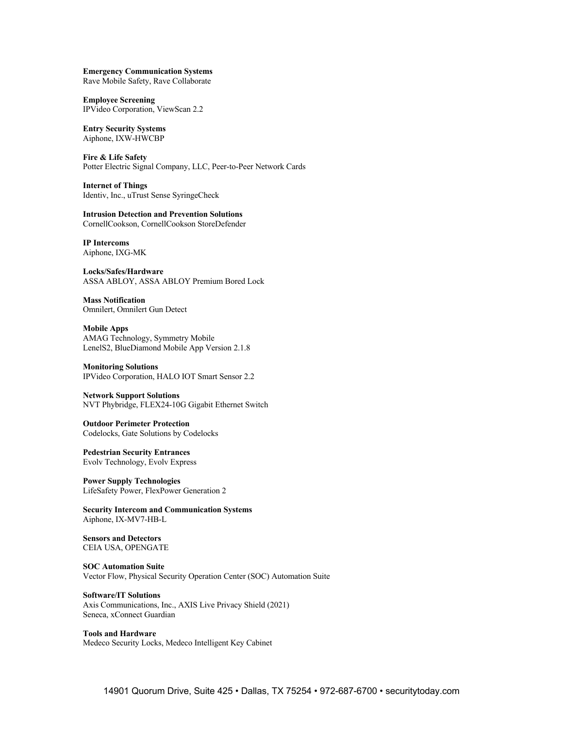**Emergency Communication Systems** Rave Mobile Safety, Rave Collaborate

**Employee Screening** IPVideo Corporation, ViewScan 2.2

**Entry Security Systems** Aiphone, IXW-HWCBP

**Fire & Life Safety** Potter Electric Signal Company, LLC, Peer-to-Peer Network Cards

**Internet of Things** Identiv, Inc., uTrust Sense SyringeCheck

**Intrusion Detection and Prevention Solutions** CornellCookson, CornellCookson StoreDefender

**IP Intercoms** Aiphone, IXG-MK

**Locks/Safes/Hardware** ASSA ABLOY, ASSA ABLOY Premium Bored Lock

**Mass Notification** Omnilert, Omnilert Gun Detect

**Mobile Apps** AMAG Technology, Symmetry Mobile LenelS2, BlueDiamond Mobile App Version 2.1.8

**Monitoring Solutions** IPVideo Corporation, HALO IOT Smart Sensor 2.2

**Network Support Solutions** NVT Phybridge, FLEX24-10G Gigabit Ethernet Switch

**Outdoor Perimeter Protection** Codelocks, Gate Solutions by Codelocks

**Pedestrian Security Entrances** Evolv Technology, Evolv Express

**Power Supply Technologies** LifeSafety Power, FlexPower Generation 2

**Security Intercom and Communication Systems** Aiphone, IX-MV7-HB-L

**Sensors and Detectors** CEIA USA, OPENGATE

**SOC Automation Suite** Vector Flow, Physical Security Operation Center (SOC) Automation Suite

**Software/IT Solutions** Axis Communications, Inc., AXIS Live Privacy Shield (2021) Seneca, xConnect Guardian

**Tools and Hardware** Medeco Security Locks, Medeco Intelligent Key Cabinet